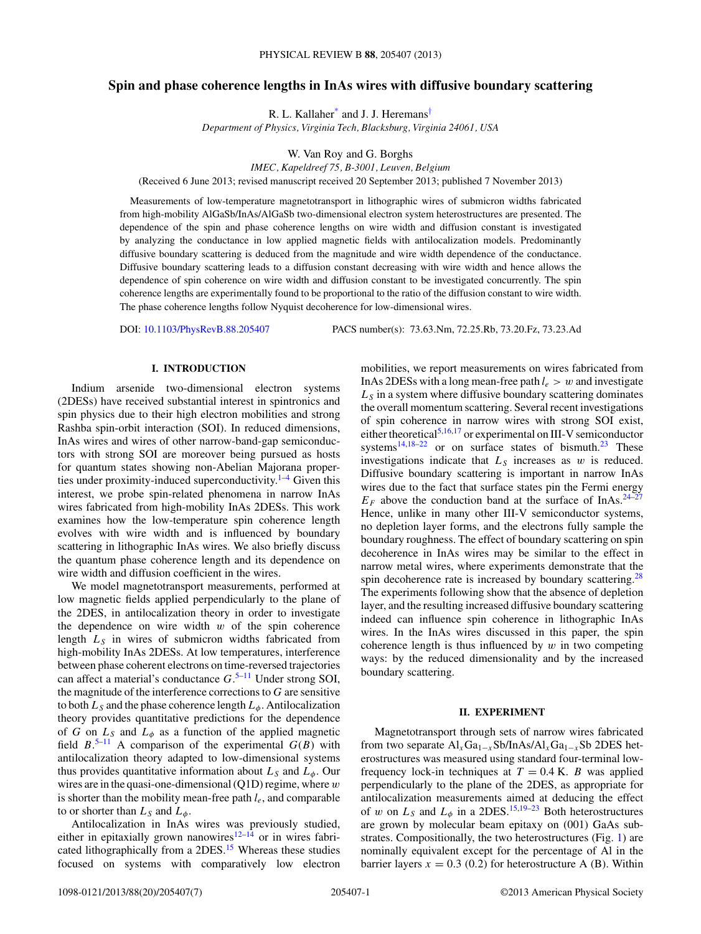# **Spin and phase coherence lengths in InAs wires with diffusive boundary scattering**

R. L. Kallaher<sup>[\\*](#page-5-0)</sup> and J. J. Heremans<sup>[†](#page-5-0)</sup>

*Department of Physics, Virginia Tech, Blacksburg, Virginia 24061, USA*

W. Van Roy and G. Borghs

*IMEC, Kapeldreef 75, B-3001, Leuven, Belgium*

(Received 6 June 2013; revised manuscript received 20 September 2013; published 7 November 2013)

Measurements of low-temperature magnetotransport in lithographic wires of submicron widths fabricated from high-mobility AlGaSb/InAs/AlGaSb two-dimensional electron system heterostructures are presented. The dependence of the spin and phase coherence lengths on wire width and diffusion constant is investigated by analyzing the conductance in low applied magnetic fields with antilocalization models. Predominantly diffusive boundary scattering is deduced from the magnitude and wire width dependence of the conductance. Diffusive boundary scattering leads to a diffusion constant decreasing with wire width and hence allows the dependence of spin coherence on wire width and diffusion constant to be investigated concurrently. The spin coherence lengths are experimentally found to be proportional to the ratio of the diffusion constant to wire width. The phase coherence lengths follow Nyquist decoherence for low-dimensional wires.

DOI: [10.1103/PhysRevB.88.205407](http://dx.doi.org/10.1103/PhysRevB.88.205407) PACS number(s): 73*.*63*.*Nm, 72*.*25*.*Rb, 73*.*20*.*Fz, 73*.*23*.*Ad

### **I. INTRODUCTION**

Indium arsenide two-dimensional electron systems (2DESs) have received substantial interest in spintronics and spin physics due to their high electron mobilities and strong Rashba spin-orbit interaction (SOI). In reduced dimensions, InAs wires and wires of other narrow-band-gap semiconductors with strong SOI are moreover being pursued as hosts for quantum states showing non-Abelian Majorana properties under proximity-induced superconductivity. $1-4$  Given this interest, we probe spin-related phenomena in narrow InAs wires fabricated from high-mobility InAs 2DESs. This work examines how the low-temperature spin coherence length evolves with wire width and is influenced by boundary scattering in lithographic InAs wires. We also briefly discuss the quantum phase coherence length and its dependence on wire width and diffusion coefficient in the wires.

We model magnetotransport measurements, performed at low magnetic fields applied perpendicularly to the plane of the 2DES, in antilocalization theory in order to investigate the dependence on wire width *w* of the spin coherence length *LS* in wires of submicron widths fabricated from high-mobility InAs 2DESs. At low temperatures, interference between phase coherent electrons on time-reversed trajectories can affect a material's conductance *G*. [5–11](#page-5-0) Under strong SOI, the magnitude of the interference corrections to *G* are sensitive to both  $L_S$  and the phase coherence length  $L_{\phi}$ . Antilocalization theory provides quantitative predictions for the dependence of *G* on  $L_S$  and  $L_\phi$  as a function of the applied magnetic field  $B^{5-11}$  A comparison of the experimental  $G(B)$  with antilocalization theory adapted to low-dimensional systems thus provides quantitative information about  $L<sub>S</sub>$  and  $L<sub>\phi</sub>$ . Our wires are in the quasi-one-dimensional (Q1D) regime, where *w* is shorter than the mobility mean-free path *le*, and comparable to or shorter than  $L_S$  and  $L_{\phi}$ .

Antilocalization in InAs wires was previously studied, either in epitaxially grown nanowires<sup>12–14</sup> or in wires fabricated lithographically from a 2DES.<sup>15</sup> Whereas these studies focused on systems with comparatively low electron mobilities, we report measurements on wires fabricated from InAs 2DESs with a long mean-free path  $l_e > w$  and investigate  $L<sub>S</sub>$  in a system where diffusive boundary scattering dominates the overall momentum scattering. Several recent investigations of spin coherence in narrow wires with strong SOI exist, either theoretical<sup>[5,16,17](#page-5-0)</sup> or experimental on III-V semiconductor systems<sup>[14,18–22](#page-5-0)</sup> or on surface states of bismuth.<sup>[23](#page-5-0)</sup> These investigations indicate that  $L<sub>S</sub>$  increases as  $w$  is reduced. Diffusive boundary scattering is important in narrow InAs wires due to the fact that surface states pin the Fermi energy  $E_F$  above the conduction band at the surface of InAs.<sup>24–27</sup> Hence, unlike in many other III-V semiconductor systems, no depletion layer forms, and the electrons fully sample the boundary roughness. The effect of boundary scattering on spin decoherence in InAs wires may be similar to the effect in narrow metal wires, where experiments demonstrate that the spin decoherence rate is increased by boundary scattering.<sup>[28](#page-5-0)</sup> The experiments following show that the absence of depletion layer, and the resulting increased diffusive boundary scattering indeed can influence spin coherence in lithographic InAs wires. In the InAs wires discussed in this paper, the spin coherence length is thus influenced by *w* in two competing ways: by the reduced dimensionality and by the increased boundary scattering.

#### **II. EXPERIMENT**

Magnetotransport through sets of narrow wires fabricated from two separate  $\text{Al}_x\text{Ga}_{1-x}\text{Sb}/\text{InAs}/\text{Al}_x\text{Ga}_{1-x}\text{Sb}$  2DES heterostructures was measured using standard four-terminal lowfrequency lock-in techniques at  $T = 0.4$  K. *B* was applied perpendicularly to the plane of the 2DES, as appropriate for antilocalization measurements aimed at deducing the effect of *w* on  $L_s$  and  $L_\phi$  in a 2DES.<sup>[15,19–23](#page-5-0)</sup> Both heterostructures are grown by molecular beam epitaxy on (001) GaAs substrates. Compositionally, the two heterostructures (Fig. [1\)](#page-1-0) are nominally equivalent except for the percentage of Al in the barrier layers  $x = 0.3$  (0.2) for heterostructure A (B). Within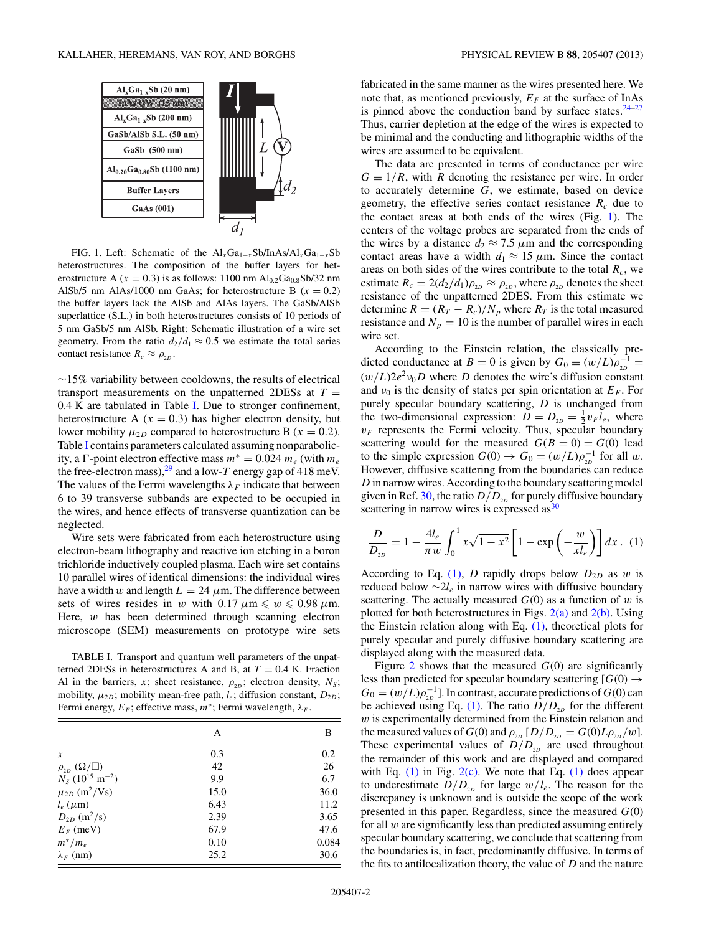<span id="page-1-0"></span>

FIG. 1. Left: Schematic of the Al<sub>*x*</sub>Ga<sub>1−*x*</sub>Sb/InAs/Al<sub>*x*</sub>Ga<sub>1−*x*</sub>Sb</sub> heterostructures. The composition of the buffer layers for heterostructure A ( $x = 0.3$ ) is as follows: 1100 nm Al<sub>0.2</sub>Ga<sub>0.8</sub>Sb/32 nm AlSb/5 nm AlAs/1000 nm GaAs; for heterostructure B  $(x = 0.2)$ the buffer layers lack the AlSb and AlAs layers. The GaSb/AlSb superlattice (S.L.) in both heterostructures consists of 10 periods of 5 nm GaSb/5 nm AlSb. Right: Schematic illustration of a wire set geometry. From the ratio  $d_2/d_1 \approx 0.5$  we estimate the total series contact resistance  $R_c \approx \rho_{2D}$ .

∼15% variability between cooldowns, the results of electrical transport measurements on the unpatterned 2DESs at  $T =$ 0.4 K are tabulated in Table I. Due to stronger confinement, heterostructure A  $(x = 0.3)$  has higher electron density, but lower mobility  $\mu_{2D}$  compared to heterostructure B ( $x = 0.2$ ). Table I contains parameters calculated assuming nonparabolicity, a  $\Gamma$ -point electron effective mass  $m^* = 0.024 m_e$  (with  $m_e$ ) the free-electron mass),  $^{29}$  and a low-T energy gap of 418 meV. The values of the Fermi wavelengths  $\lambda_F$  indicate that between 6 to 39 transverse subbands are expected to be occupied in the wires, and hence effects of transverse quantization can be neglected.

Wire sets were fabricated from each heterostructure using electron-beam lithography and reactive ion etching in a boron trichloride inductively coupled plasma. Each wire set contains 10 parallel wires of identical dimensions: the individual wires have a width *w* and length  $L = 24 \mu$ m. The difference between sets of wires resides in *w* with  $0.17 \mu m \leqslant w \leqslant 0.98 \mu m$ . Here, *w* has been determined through scanning electron microscope (SEM) measurements on prototype wire sets

TABLE I. Transport and quantum well parameters of the unpatterned 2DESs in heterostructures A and B, at  $T = 0.4$  K. Fraction Al in the barriers, *x*; sheet resistance,  $\rho_{2D}$ ; electron density,  $N_S$ ; mobility,  $\mu_{2D}$ ; mobility mean-free path,  $l_e$ ; diffusion constant,  $D_{2D}$ ; Fermi energy,  $E_F$ ; effective mass,  $m^*$ ; Fermi wavelength,  $\lambda_F$ .

|                                           | А    | В     |
|-------------------------------------------|------|-------|
| $\boldsymbol{x}$                          | 0.3  | 0.2   |
| $\rho_{_{2D}}\left(\Omega/\square\right)$ | 42   | 26    |
| $N_S$ (10 <sup>15</sup> m <sup>-2</sup> ) | 9.9  | 6.7   |
| $\mu_{2D}$ (m <sup>2</sup> /Vs)           | 15.0 | 36.0  |
| $l_e$ ( $\mu$ m)                          | 6.43 | 11.2  |
| $D_{2D}$ (m <sup>2</sup> /s)              | 2.39 | 3.65  |
| $E_F$ (meV)                               | 67.9 | 47.6  |
| $m^*/m_e$                                 | 0.10 | 0.084 |
| $\lambda_F$ (nm)                          | 25.2 | 30.6  |

fabricated in the same manner as the wires presented here. We note that, as mentioned previously,  $E_F$  at the surface of InAs is pinned above the conduction band by surface states. $24-27$ Thus, carrier depletion at the edge of the wires is expected to be minimal and the conducting and lithographic widths of the wires are assumed to be equivalent.

The data are presented in terms of conductance per wire  $G \equiv 1/R$ , with *R* denoting the resistance per wire. In order to accurately determine *G*, we estimate, based on device geometry, the effective series contact resistance  $R_c$  due to the contact areas at both ends of the wires (Fig. 1). The centers of the voltage probes are separated from the ends of the wires by a distance  $d_2 \approx 7.5 \ \mu \text{m}$  and the corresponding contact areas have a width  $d_1 \approx 15 \mu m$ . Since the contact areas on both sides of the wires contribute to the total  $R_c$ , we estimate  $R_c = 2(d_2/d_1)\rho_{2D} \approx \rho_{2D}$ , where  $\rho_{2D}$  denotes the sheet resistance of the unpatterned 2DES. From this estimate we determine  $R = (R_T - R_c)/N_p$  where  $R_T$  is the total measured resistance and  $N_p = 10$  is the number of parallel wires in each wire set.

According to the Einstein relation, the classically predicted conductance at *B* = 0 is given by  $G_0 \equiv (w/L)\rho_{2D}^{-1}$  =  $(w/L)2e^2v_0D$  where *D* denotes the wire's diffusion constant and  $v_0$  is the density of states per spin orientation at  $E_F$ . For purely specular boundary scattering, *D* is unchanged from the two-dimensional expression:  $D = D_{2D} = \frac{1}{2} v_F l_e$ , where  $v_F$  represents the Fermi velocity. Thus, specular boundary scattering would for the measured  $G(B = 0) = G(0)$  lead to the simple expression  $G(0) \rightarrow G_0 = (w/L)\rho_{2D}^{-1}$  for all *w*. However, diffusive scattering from the boundaries can reduce *D* in narrow wires. According to the boundary scattering model given in Ref. [30,](#page-5-0) the ratio  $D/D_{2D}$  for purely diffusive boundary scattering in narrow wires is expressed  $\text{as}^{30}$ 

$$
\frac{D}{D_{2D}} = 1 - \frac{4l_e}{\pi w} \int_0^1 x\sqrt{1 - x^2} \left[ 1 - \exp\left( -\frac{w}{x l_e} \right) \right] dx \quad (1)
$$

According to Eq. (1), *D* rapidly drops below  $D_{2D}$  as *w* is reduced below ∼2*le* in narrow wires with diffusive boundary scattering. The actually measured  $G(0)$  as a function of *w* is plotted for both heterostructures in Figs.  $2(a)$  and  $2(b)$ . Using the Einstein relation along with Eq.  $(1)$ , theoretical plots for purely specular and purely diffusive boundary scattering are displayed along with the measured data.

Figure [2](#page-2-0) shows that the measured  $G(0)$  are significantly less than predicted for specular boundary scattering  $[G(0) \rightarrow$  $G_0 = (w/L)\rho_{2D}^{-1}$ . In contrast, accurate predictions of  $G(0)$  can be achieved using Eq. (1). The ratio  $D/D_{2D}$  for the different *w* is experimentally determined from the Einstein relation and the measured values of *G*(0) and  $\rho_{2D}$  [*D*/*D*<sub>2*D*</sub> = *G*(0)*L* $\rho_{2D}/w$ ]. These experimental values of  $D/D_{2D}$  are used throughout the remainder of this work and are displayed and compared with Eq.  $(1)$  in Fig.  $2(c)$ . We note that Eq.  $(1)$  does appear to underestimate  $D/D_{2D}$  for large  $w/l_e$ . The reason for the discrepancy is unknown and is outside the scope of the work presented in this paper. Regardless, since the measured *G*(0) for all *w* are significantly less than predicted assuming entirely specular boundary scattering, we conclude that scattering from the boundaries is, in fact, predominantly diffusive. In terms of the fits to antilocalization theory, the value of *D* and the nature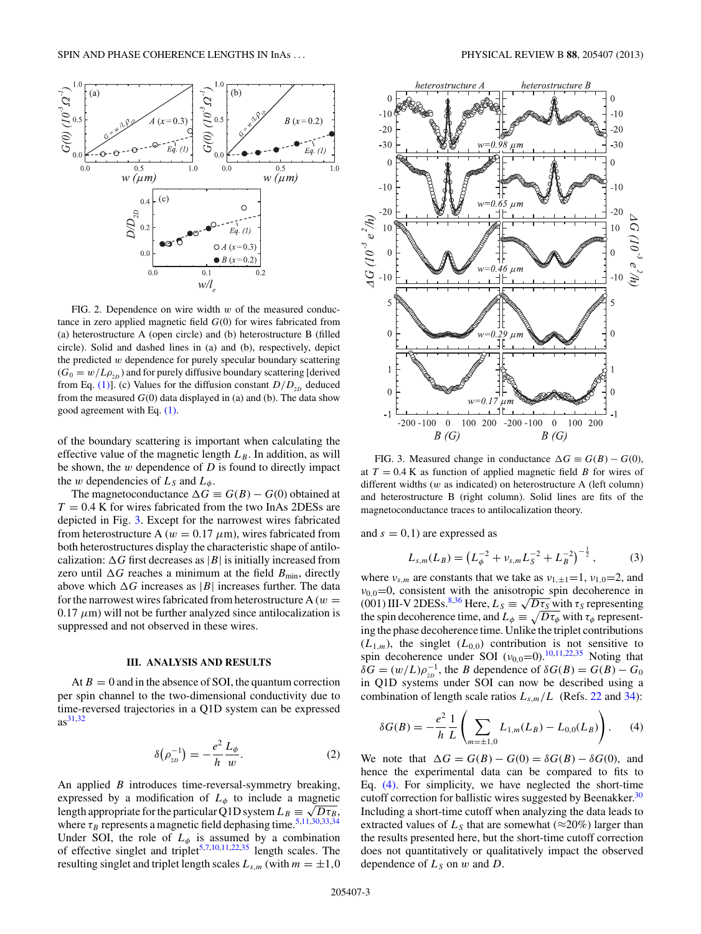<span id="page-2-0"></span>

FIG. 2. Dependence on wire width *w* of the measured conductance in zero applied magnetic field *G*(0) for wires fabricated from (a) heterostructure A (open circle) and (b) heterostructure B (filled circle). Solid and dashed lines in (a) and (b), respectively, depict the predicted *w* dependence for purely specular boundary scattering  $(G_0 = w/L\rho_{2D})$  and for purely diffusive boundary scattering [derived from Eq. [\(1\)\]](#page-1-0). (c) Values for the diffusion constant  $D/D_{2D}$  deduced from the measured  $G(0)$  data displayed in (a) and (b). The data show good agreement with Eq. [\(1\).](#page-1-0)

of the boundary scattering is important when calculating the effective value of the magnetic length  $L_B$ . In addition, as will be shown, the *w* dependence of *D* is found to directly impact the *w* dependencies of  $L_S$  and  $L_{\phi}$ .

The magnetoconductance  $\Delta G \equiv G(B) - G(0)$  obtained at  $T = 0.4$  K for wires fabricated from the two InAs 2DESs are depicted in Fig. 3. Except for the narrowest wires fabricated from heterostructure A ( $w = 0.17 \mu m$ ), wires fabricated from both heterostructures display the characteristic shape of antilocalization:  $\Delta G$  first decreases as  $|B|$  is initially increased from zero until  $\Delta G$  reaches a minimum at the field  $B_{\text{min}}$ , directly above which  $\Delta G$  increases as |B| increases further. The data for the narrowest wires fabricated from heterostructure A  $(w =$  $0.17 \mu$ m) will not be further analyzed since antilocalization is suppressed and not observed in these wires.

### **III. ANALYSIS AND RESULTS**

At  $B = 0$  and in the absence of SOI, the quantum correction per spin channel to the two-dimensional conductivity due to time-reversed trajectories in a Q1D system can be expressed as[31,32](#page-5-0)

$$
\delta(\rho_{2D}^{-1}) = -\frac{e^2}{h} \frac{L_{\phi}}{w}.
$$
 (2)

An applied *B* introduces time-reversal-symmetry breaking, expressed by a modification of  $L_{\phi}$  to include a magnetic length appropriate for the particular Q1D system  $L_B \equiv \sqrt{D \tau_B}$ , where  $\tau_B$  represents a magnetic field dephasing time.<sup>[5,11,30,33,34](#page-5-0)</sup> Under SOI, the role of  $L_{\phi}$  is assumed by a combination of effective singlet and triplet<sup>[5,7,10,11,22,](#page-5-0)[35](#page-6-0)</sup> length scales. The resulting singlet and triplet length scales  $L_{s,m}$  (with  $m = \pm 1,0$ 



FIG. 3. Measured change in conductance  $\Delta G \equiv G(B) - G(0)$ , at  $T = 0.4$  K as function of applied magnetic field *B* for wires of different widths (*w* as indicated) on heterostructure A (left column) and heterostructure B (right column). Solid lines are fits of the magnetoconductance traces to antilocalization theory.

and  $s = 0, 1$  are expressed as

$$
L_{s,m}(L_B) = \left(L_{\phi}^{-2} + \nu_{s,m}L_S^{-2} + L_B^{-2}\right)^{-\frac{1}{2}},\tag{3}
$$

where  $v_{s,m}$  are constants that we take as  $v_{1,\pm 1}=1$ ,  $v_{1,0}=2$ , and  $v_{0,0}=0$ , consistent with the anisotropic spin decoherence in (001) III-V 2DESs.<sup>[8,](#page-5-0)[36](#page-6-0)</sup> Here,  $L_S = \sqrt{D\tau_S}$  with  $\tau_S$  representing the spin decoherence time, and  $L_{\phi} \equiv \sqrt{D\tau_{\phi}}$  with  $\tau_{\phi}$  representing the phase decoherence time. Unlike the triplet contributions  $(L_{1,m})$ , the singlet  $(L_{0,0})$  contribution is not sensitive to spin decoherence under SOI  $(v_{0,0}=0)$ .<sup>[10,11,22](#page-5-0)[,35](#page-6-0)</sup> Noting that *δG* =  $(w/L)\rho_{2D}^{-1}$ , the *B* dependence of *δG*(*B*) = *G*(*B*) – *G*<sub>0</sub> in Q1D systems under SOI can now be described using a combination of length scale ratios  $L_{s,m}/L$  (Refs. [22](#page-5-0) and [34\)](#page-5-0):

$$
\delta G(B) = -\frac{e^2}{h} \frac{1}{L} \left( \sum_{m=\pm 1,0} L_{1,m}(L_B) - L_{0,0}(L_B) \right). \tag{4}
$$

We note that  $\Delta G = G(B) - G(0) = \delta G(B) - \delta G(0)$ , and hence the experimental data can be compared to fits to Eq. (4). For simplicity, we have neglected the short-time cutoff correction for ballistic wires suggested by Beenakker.<sup>[30](#page-5-0)</sup> Including a short-time cutoff when analyzing the data leads to extracted values of  $L<sub>S</sub>$  that are somewhat ( $\approx$ 20%) larger than the results presented here, but the short-time cutoff correction does not quantitatively or qualitatively impact the observed dependence of  $L_S$  on  $w$  and  $D$ .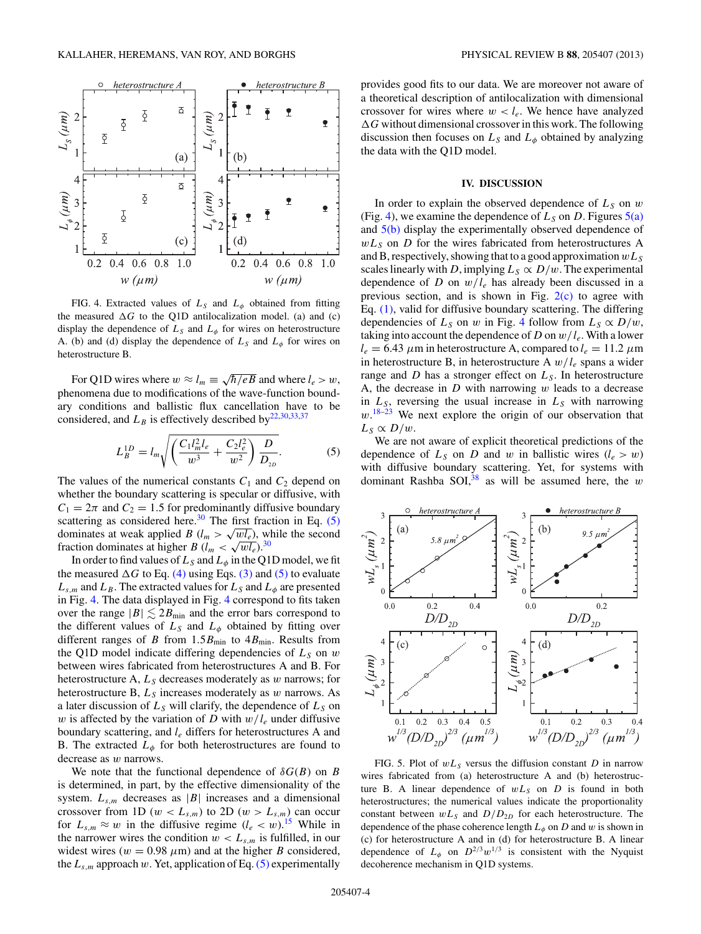<span id="page-3-0"></span>

FIG. 4. Extracted values of  $L<sub>S</sub>$  and  $L<sub>\phi</sub>$  obtained from fitting the measured  $\Delta G$  to the Q1D antilocalization model. (a) and (c) display the dependence of  $L<sub>S</sub>$  and  $L<sub>\phi</sub>$  for wires on heterostructure A. (b) and (d) display the dependence of  $L<sub>S</sub>$  and  $L<sub>\phi</sub>$  for wires on heterostructure B.

For Q1D wires where  $w \approx l_m \equiv \sqrt{\hbar/eB}$  and where  $l_e > w$ , phenomena due to modifications of the wave-function boundary conditions and ballistic flux cancellation have to be considered, and  $L_B$  is effectively described by<sup>22,30,33[,37](#page-6-0)</sup>

$$
L_B^{1D} = l_m \sqrt{\left(\frac{C_1 l_m^2 l_e}{w^3} + \frac{C_2 l_e^2}{w^2}\right) \frac{D}{D_{2D}}}.
$$
 (5)

The values of the numerical constants  $C_1$  and  $C_2$  depend on whether the boundary scattering is specular or diffusive, with  $C_1 = 2\pi$  and  $C_2 = 1.5$  for predominantly diffusive boundary scattering as considered here. $30$  The first fraction in Eq. (5) dominates at weak applied *B* ( $l_m > \sqrt{wl_e}$ ), while the second fraction dominates at higher *B* ( $l_m < \sqrt{wl_e}$ ).<sup>[30](#page-5-0)</sup>

In order to find values of  $L_S$  and  $L_\phi$  in the Q1D model, we fit the measured  $\Delta G$  to Eq. [\(4\)](#page-2-0) using Eqs. [\(3\)](#page-2-0) and (5) to evaluate  $L_{s,m}$  and  $L_B$ . The extracted values for  $L_S$  and  $L_\phi$  are presented in Fig. 4. The data displayed in Fig. 4 correspond to fits taken over the range  $|B| \lesssim 2B_{\text{min}}$  and the error bars correspond to the different values of  $L<sub>S</sub>$  and  $L<sub>\phi</sub>$  obtained by fitting over different ranges of *B* from  $1.5B_{\text{min}}$  to  $4B_{\text{min}}$ . Results from the Q1D model indicate differing dependencies of  $L<sub>S</sub>$  on  $w$ between wires fabricated from heterostructures A and B. For heterostructure A,  $L<sub>S</sub>$  decreases moderately as *w* narrows; for heterostructure B, *LS* increases moderately as *w* narrows. As a later discussion of  $L<sub>S</sub>$  will clarify, the dependence of  $L<sub>S</sub>$  on *w* is affected by the variation of *D* with  $w/l_e$  under diffusive boundary scattering, and *le* differs for heterostructures A and B. The extracted  $L_{\phi}$  for both heterostructures are found to decrease as *w* narrows.

We note that the functional dependence of  $\delta G(B)$  on *B* is determined, in part, by the effective dimensionality of the system.  $L_{s,m}$  decreases as  $|B|$  increases and a dimensional crossover from 1D ( $w < L_{s,m}$ ) to 2D ( $w > L_{s,m}$ ) can occur for  $L_{s,m} \approx w$  in the diffusive regime  $(l_e < w)$ .<sup>[15](#page-5-0)</sup> While in the narrower wires the condition  $w < L_{s,m}$  is fulfilled, in our widest wires ( $w = 0.98 \mu m$ ) and at the higher *B* considered, the  $L_{s,m}$  approach  $w$ . Yet, application of Eq. (5) experimentally

provides good fits to our data. We are moreover not aware of a theoretical description of antilocalization with dimensional crossover for wires where  $w < l_e$ . We hence have analyzed  $\Delta G$  without dimensional crossover in this work. The following discussion then focuses on  $L<sub>S</sub>$  and  $L<sub>\phi</sub>$  obtained by analyzing the data with the Q1D model.

#### **IV. DISCUSSION**

In order to explain the observed dependence of  $L_S$  on  $w$ (Fig. 4), we examine the dependence of  $L_S$  on *D*. Figures  $5(a)$ and 5(b) display the experimentally observed dependence of  $wL<sub>S</sub>$  on *D* for the wires fabricated from heterostructures A and B, respectively, showing that to a good approximation *wLS* scales linearly with *D*, implying  $L_S \propto D/w$ . The experimental dependence of *D* on  $w/l_e$  has already been discussed in a previous section, and is shown in Fig.  $2(c)$  to agree with Eq. [\(1\),](#page-1-0) valid for diffusive boundary scattering. The differing dependencies of  $L_S$  on *w* in Fig. 4 follow from  $L_S \propto D/w$ , taking into account the dependence of *D* on  $w/l_e$ . With a lower  $l_e = 6.43 \mu$ m in heterostructure A, compared to  $l_e = 11.2 \mu$ m in heterostructure B, in heterostructure A *w/le* spans a wider range and  $D$  has a stronger effect on  $L<sub>S</sub>$ . In heterostructure A, the decrease in *D* with narrowing *w* leads to a decrease in  $L_S$ , reversing the usual increase in  $L_S$  with narrowing w.<sup>[18–23](#page-5-0)</sup> We next explore the origin of our observation that  $L_S \propto D/w$ .

We are not aware of explicit theoretical predictions of the dependence of  $L_S$  on *D* and *w* in ballistic wires  $(l_e > w)$ with diffusive boundary scattering. Yet, for systems with dominant Rashba SOI[,38](#page-6-0) as will be assumed here, the *w*



FIG. 5. Plot of  $wL<sub>S</sub>$  versus the diffusion constant *D* in narrow wires fabricated from (a) heterostructure A and (b) heterostructure B. A linear dependence of  $wL<sub>S</sub>$  on *D* is found in both heterostructures; the numerical values indicate the proportionality constant between  $wL_S$  and  $D/D_{2D}$  for each heterostructure. The dependence of the phase coherence length  $L_{\phi}$  on *D* and *w* is shown in (c) for heterostructure A and in (d) for heterostructure B. A linear dependence of  $L_{\phi}$  on  $D^{2/3}w^{1/3}$  is consistent with the Nyquist decoherence mechanism in Q1D systems.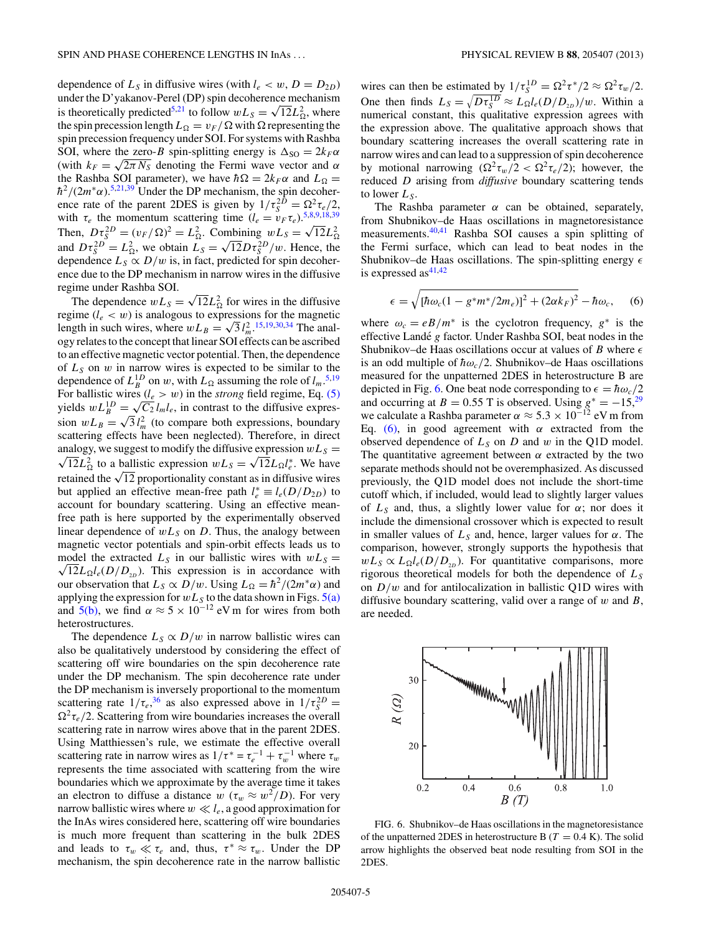dependence of  $L_S$  in diffusive wires (with  $l_e < w$ ,  $D = D_{2D}$ ) under the D'yakanov-Perel (DP) spin decoherence mechanism is theoretically predicted<sup>5,21</sup> to follow  $wL_S = \sqrt{12}L_{\Omega}^2$ , where the spin precession length  $L_{\Omega} = v_F / \Omega$  with  $\Omega$  representing the spin precession frequency under SOI. For systems with Rashba SOI, where the zero-*B* spin-splitting energy is  $\Delta_{\text{SO}} = 2k_F\alpha$ (with  $k_F = \sqrt{2\pi N_S}$  denoting the Fermi wave vector and  $\alpha$ the Rashba SOI parameter), we have  $\hbar \Omega = 2k_F \alpha$  and  $L_{\Omega} =$  $\hbar^2/(2m^* \alpha)$ .<sup>[5,21,](#page-5-0)[39](#page-6-0)</sup> Under the DP mechanism, the spin decoherence rate of the parent 2DES is given by  $1/\tau_S^{2D} = \Omega^2 \tau_e/2$ , with  $\tau_e$  the momentum scattering time  $(l_e = v_F \tau_e) \frac{5,8,9,18,39}{\sigma}$  $(l_e = v_F \tau_e) \frac{5,8,9,18,39}{\sigma}$  $(l_e = v_F \tau_e) \frac{5,8,9,18,39}{\sigma}$  $(l_e = v_F \tau_e) \frac{5,8,9,18,39}{\sigma}$ Then,  $D\tau_S^{2D} = (v_F/\Omega)^2 = L_{\Omega}^2$ . Combining  $wL_S = \sqrt{12}L_{\Omega}^2$ and  $D\tau_S^{2D} = L_{\Omega}^2$ , we obtain  $L_S = \sqrt{12}D\tau_S^{2D}/w$ . Hence, the dependence  $L_S \propto D/w$  is, in fact, predicted for spin decoherence due to the DP mechanism in narrow wires in the diffusive regime under Rashba SOI.

The dependence  $wL_s = \sqrt{12}L_{\Omega}^2$  for wires in the diffusive regime  $(l_e < w)$  is analogous to expressions for the magnetic length in such wires, where  $wL_B = \sqrt{3} l_m^2$ .<sup>[15,19,30,34](#page-5-0)</sup> The analogy relates to the concept that linear SOI effects can be ascribed to an effective magnetic vector potential. Then, the dependence of  $L<sub>S</sub>$  on  $w$  in narrow wires is expected to be similar to the dependence of  $L_B^{1D}$  on *w*, with  $L_{\Omega}$  assuming the role of  $l_m$ .<sup>[5,19](#page-5-0)</sup> For ballistic wires  $(l_e > w)$  in the *strong* field regime, Eq. [\(5\)](#page-3-0) yields  $wL_B^{1D} = \sqrt{C_2} l_m l_e$ , in contrast to the diffusive expres- $\sin wL_B = \sqrt{3} l_m^2$  (to compare both expressions, boundary scattering effects have been neglected). Therefore, in direct analogy, we suggest to modify the diffusive expression  $wL_s =$  $\sqrt{12}L_{\Omega}^2$  to a ballistic expression  $wL_s = \sqrt{12}L_{\Omega}l_e^*$ . We have retained the  $\sqrt{12}$  proportionality constant as in diffusive wires but applied an effective mean-free path  $l_e^* \equiv l_e(D/D_{2D})$  to account for boundary scattering. Using an effective meanfree path is here supported by the experimentally observed linear dependence of  $wL<sub>S</sub>$  on *D*. Thus, the analogy between magnetic vector potentials and spin-orbit effects leads us to model the extracted  $L_S$  in our ballistic wires with  $wL_S =$  $\sqrt{12}L_{\Omega}l_e(D/D_{2D})$ . This expression is in accordance with our observation that  $L_S \propto D/w$ . Using  $L_{\Omega} = \hbar^2/(2m^* \alpha)$  and applying the expression for  $wL_S$  to the data shown in Figs.  $5(a)$ and [5\(b\),](#page-3-0) we find  $\alpha \approx 5 \times 10^{-12}$  eV m for wires from both heterostructures.

The dependence  $L_S \propto D/w$  in narrow ballistic wires can also be qualitatively understood by considering the effect of scattering off wire boundaries on the spin decoherence rate under the DP mechanism. The spin decoherence rate under the DP mechanism is inversely proportional to the momentum scattering rate  $1/\tau_e^{36}$  $1/\tau_e^{36}$  $1/\tau_e^{36}$  as also expressed above in  $1/\tau_S^{2D}$  =  $\Omega^2 \tau_e/2$ . Scattering from wire boundaries increases the overall scattering rate in narrow wires above that in the parent 2DES. Using Matthiessen's rule, we estimate the effective overall scattering rate in narrow wires as  $1/\tau^* = \tau_e^{-1} + \tau_w^{-1}$  where  $\tau_w$ represents the time associated with scattering from the wire boundaries which we approximate by the average time it takes an electron to diffuse a distance  $w$  ( $\tau_w \approx w^2/D$ ). For very narrow ballistic wires where  $w \ll l_e$ , a good approximation for the InAs wires considered here, scattering off wire boundaries is much more frequent than scattering in the bulk 2DES and leads to  $\tau_w \ll \tau_e$  and, thus,  $\tau^* \approx \tau_w$ . Under the DP mechanism, the spin decoherence rate in the narrow ballistic

wires can then be estimated by  $1/\tau_S^{1D} = \Omega^2 \tau^*/2 \approx \Omega^2 \tau_w/2$ . One then finds  $L_S = \sqrt{D \tau_S^{1D}} \approx L_{\Omega} l_e(D/D_{2D})/w$ . Within a numerical constant, this qualitative expression agrees with the expression above. The qualitative approach shows that boundary scattering increases the overall scattering rate in narrow wires and can lead to a suppression of spin decoherence by motional narrowing  $(\Omega^2 \tau_w/2 < \Omega^2 \tau_e/2)$ ; however, the reduced *D* arising from *diffusive* boundary scattering tends to lower  $L_S$ .

The Rashba parameter  $\alpha$  can be obtained, separately, from Shubnikov–de Haas oscillations in magnetoresistance measurements[.40,41](#page-6-0) Rashba SOI causes a spin splitting of the Fermi surface, which can lead to beat nodes in the Shubnikov–de Haas oscillations. The spin-splitting energy  is expressed as $41,42$ 

$$
\epsilon = \sqrt{[\hbar \omega_c (1 - g^* m^* / 2m_e)]^2 + (2\alpha k_F)^2} - \hbar \omega_c, \quad (6)
$$

where  $\omega_c = eB/m^*$  is the cyclotron frequency,  $g^*$  is the effective Landé *g* factor. Under Rashba SOI, beat nodes in the Shubnikov–de Haas oscillations occur at values of *B* where  $\epsilon$ is an odd multiple of  $\hbar \omega_c/2$ . Shubnikov–de Haas oscillations measured for the unpatterned 2DES in heterostructure B are depicted in Fig. 6. One beat node corresponding to  $\epsilon = \hbar \omega_c/2$ and occurring at *B* = 0.55 T is observed. Using  $g^* = -15$ ,<sup>[29](#page-5-0)</sup> we calculate a Rashba parameter  $\alpha \approx 5.3 \times 10^{-12}$  eV m from Eq. (6), in good agreement with  $\alpha$  extracted from the observed dependence of  $L<sub>S</sub>$  on *D* and *w* in the Q1D model. The quantitative agreement between  $\alpha$  extracted by the two separate methods should not be overemphasized. As discussed previously, the Q1D model does not include the short-time cutoff which, if included, would lead to slightly larger values of  $L_S$  and, thus, a slightly lower value for  $\alpha$ ; nor does it include the dimensional crossover which is expected to result in smaller values of  $L<sub>S</sub>$  and, hence, larger values for  $\alpha$ . The comparison, however, strongly supports the hypothesis that  $wL_s \propto L_{\Omega}l_e(D/D_{2D})$ . For quantitative comparisons, more rigorous theoretical models for both the dependence of *LS* on *D/w* and for antilocalization in ballistic Q1D wires with diffusive boundary scattering, valid over a range of *w* and *B*, are needed.



FIG. 6. Shubnikov–de Haas oscillations in the magnetoresistance of the unpatterned 2DES in heterostructure B  $(T = 0.4 \text{ K})$ . The solid arrow highlights the observed beat node resulting from SOI in the 2DES.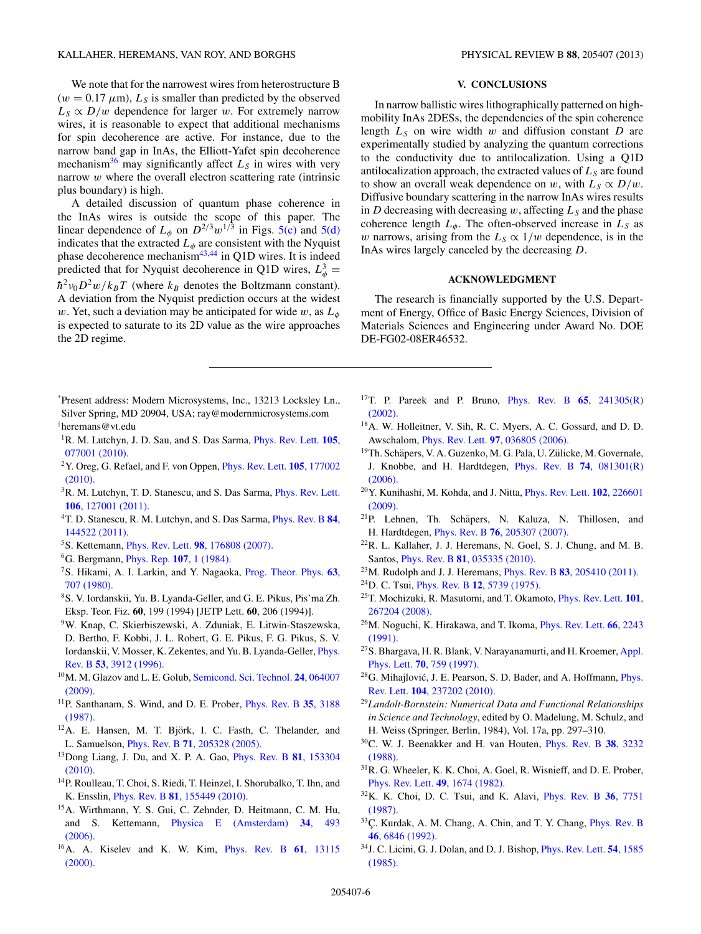<span id="page-5-0"></span>We note that for the narrowest wires from heterostructure B  $(w = 0.17 \mu m)$ ,  $L_s$  is smaller than predicted by the observed  $L_S \propto D/w$  dependence for larger *w*. For extremely narrow wires, it is reasonable to expect that additional mechanisms for spin decoherence are active. For instance, due to the narrow band gap in InAs, the Elliott-Yafet spin decoherence mechanism<sup>36</sup> may significantly affect  $L<sub>S</sub>$  in wires with very narrow *w* where the overall electron scattering rate (intrinsic plus boundary) is high.

A detailed discussion of quantum phase coherence in the InAs wires is outside the scope of this paper. The linear dependence of  $L_{\phi}$  on  $D^{2/3}w^{1/3}$  in Figs. [5\(c\)](#page-3-0) and [5\(d\)](#page-3-0) indicates that the extracted  $L_{\phi}$  are consistent with the Nyquist phase decoherence mechanism<sup>43,44</sup> in Q1D wires. It is indeed predicted that for Nyquist decoherence in Q1D wires,  $L^3_{\phi} =$  $\hbar^2 v_0 D^2 w / k_B T$  (where  $k_B$  denotes the Boltzmann constant). A deviation from the Nyquist prediction occurs at the widest *w*. Yet, such a deviation may be anticipated for wide *w*, as  $L_{\phi}$ is expected to saturate to its 2D value as the wire approaches the 2D regime.

- \* Present address: Modern Microsystems, Inc., 13213 Locksley Ln., Silver Spring, MD 20904, USA; ray@modernmicrosystems.com † heremans@vt.edu
- 1R. M. Lutchyn, J. D. Sau, and S. Das Sarma, [Phys. Rev. Lett.](http://dx.doi.org/10.1103/PhysRevLett.105.077001) **105**, [077001 \(2010\).](http://dx.doi.org/10.1103/PhysRevLett.105.077001)
- 2Y. Oreg, G. Refael, and F. von Oppen, [Phys. Rev. Lett.](http://dx.doi.org/10.1103/PhysRevLett.105.177002) **105**, 177002 [\(2010\).](http://dx.doi.org/10.1103/PhysRevLett.105.177002)
- <sup>3</sup>R. M. Lutchyn, T. D. Stanescu, and S. Das Sarma, *[Phys. Rev. Lett.](http://dx.doi.org/10.1103/PhysRevLett.106.127001)* **106**[, 127001 \(2011\).](http://dx.doi.org/10.1103/PhysRevLett.106.127001)
- 4T. D. Stanescu, R. M. Lutchyn, and S. Das Sarma, [Phys. Rev. B](http://dx.doi.org/10.1103/PhysRevB.84.144522) **84**, [144522 \(2011\).](http://dx.doi.org/10.1103/PhysRevB.84.144522)
- 5S. Kettemann, Phys. Rev. Lett. **98**[, 176808 \(2007\).](http://dx.doi.org/10.1103/PhysRevLett.98.176808)
- 6G. Bergmann, [Phys. Rep.](http://dx.doi.org/10.1016/0370-1573(84)90103-0) **107**, 1 (1984).
- 7S. Hikami, A. I. Larkin, and Y. Nagaoka, [Prog. Theor. Phys.](http://dx.doi.org/10.1143/PTP.63.707) **63**, [707 \(1980\).](http://dx.doi.org/10.1143/PTP.63.707)
- 8S. V. Iordanskii, Yu. B. Lyanda-Geller, and G. E. Pikus, Pis'ma Zh. Eksp. Teor. Fiz. **60**, 199 (1994) [JETP Lett. **60**, 206 (1994)].
- 9W. Knap, C. Skierbiszewski, A. Zduniak, E. Litwin-Staszewska, D. Bertho, F. Kobbi, J. L. Robert, G. E. Pikus, F. G. Pikus, S. V. Iordanskii, V. Mosser, K. Zekentes, and Yu. B. Lyanda-Geller, [Phys.](http://dx.doi.org/10.1103/PhysRevB.53.3912) Rev. B **53**[, 3912 \(1996\).](http://dx.doi.org/10.1103/PhysRevB.53.3912)
- 10M. M. Glazov and L. E. Golub, [Semicond. Sci. Technol.](http://dx.doi.org/10.1088/0268-1242/24/6/064007) **24**, 064007 [\(2009\).](http://dx.doi.org/10.1088/0268-1242/24/6/064007)
- 11P. Santhanam, S. Wind, and D. E. Prober, [Phys. Rev. B](http://dx.doi.org/10.1103/PhysRevB.35.3188) **35**, 3188 [\(1987\).](http://dx.doi.org/10.1103/PhysRevB.35.3188)
- <sup>12</sup>A. E. Hansen, M. T. Björk, I. C. Fasth, C. Thelander, and L. Samuelson, Phys. Rev. B **71**[, 205328 \(2005\).](http://dx.doi.org/10.1103/PhysRevB.71.205328)
- 13Dong Liang, J. Du, and X. P. A. Gao, [Phys. Rev. B](http://dx.doi.org/10.1103/PhysRevB.81.153304) **81**, 153304 [\(2010\).](http://dx.doi.org/10.1103/PhysRevB.81.153304)
- 14P. Roulleau, T. Choi, S. Riedi, T. Heinzel, I. Shorubalko, T. Ihn, and K. Ensslin, Phys. Rev. B **81**[, 155449 \(2010\).](http://dx.doi.org/10.1103/PhysRevB.81.155449)
- 15A. Wirthmann, Y. S. Gui, C. Zehnder, D. Heitmann, C. M. Hu, and S. Kettemann, [Physica E \(Amsterdam\)](http://dx.doi.org/10.1016/j.physe.2006.03.062) **34**, 493 [\(2006\).](http://dx.doi.org/10.1016/j.physe.2006.03.062)
- 16A. A. Kiselev and K. W. Kim, [Phys. Rev. B](http://dx.doi.org/10.1103/PhysRevB.61.13115) **61**, 13115 [\(2000\).](http://dx.doi.org/10.1103/PhysRevB.61.13115)

## **V. CONCLUSIONS**

In narrow ballistic wires lithographically patterned on highmobility InAs 2DESs, the dependencies of the spin coherence length  $L<sub>S</sub>$  on wire width  $w$  and diffusion constant  $D$  are experimentally studied by analyzing the quantum corrections to the conductivity due to antilocalization. Using a Q1D antilocalization approach, the extracted values of  $L<sub>S</sub>$  are found to show an overall weak dependence on *w*, with  $L_S \propto D/w$ . Diffusive boundary scattering in the narrow InAs wires results in *D* decreasing with decreasing  $w$ , affecting  $L<sub>S</sub>$  and the phase coherence length  $L_{\phi}$ . The often-observed increase in  $L_S$  as *w* narrows, arising from the  $L_S \propto 1/w$  dependence, is in the InAs wires largely canceled by the decreasing *D*.

#### **ACKNOWLEDGMENT**

The research is financially supported by the U.S. Department of Energy, Office of Basic Energy Sciences, Division of Materials Sciences and Engineering under Award No. DOE DE-FG02-08ER46532.

- 17T. P. Pareek and P. Bruno, [Phys. Rev. B](http://dx.doi.org/10.1103/PhysRevB.65.241305) **65**, 241305(R) [\(2002\).](http://dx.doi.org/10.1103/PhysRevB.65.241305)
- 18A. W. Holleitner, V. Sih, R. C. Myers, A. C. Gossard, and D. D. Awschalom, Phys. Rev. Lett. **97**[, 036805 \(2006\).](http://dx.doi.org/10.1103/PhysRevLett.97.036805)
- <sup>19</sup>Th. Schäpers, V. A. Guzenko, M. G. Pala, U. Zülicke, M. Governale, J. Knobbe, and H. Hardtdegen, [Phys. Rev. B](http://dx.doi.org/10.1103/PhysRevB.74.081301) **74**, 081301(R) [\(2006\).](http://dx.doi.org/10.1103/PhysRevB.74.081301)
- 20Y. Kunihashi, M. Kohda, and J. Nitta, [Phys. Rev. Lett.](http://dx.doi.org/10.1103/PhysRevLett.102.226601) **102**, 226601 [\(2009\).](http://dx.doi.org/10.1103/PhysRevLett.102.226601)
- <sup>21</sup>P. Lehnen, Th. Schäpers, N. Kaluza, N. Thillosen, and H. Hardtdegen, Phys. Rev. B **76**[, 205307 \(2007\).](http://dx.doi.org/10.1103/PhysRevB.76.205307)
- 22R. L. Kallaher, J. J. Heremans, N. Goel, S. J. Chung, and M. B. Santos, Phys. Rev. B **81**[, 035335 \(2010\).](http://dx.doi.org/10.1103/PhysRevB.81.035335)
- 23M. Rudolph and J. J. Heremans, Phys. Rev. B **83**[, 205410 \(2011\).](http://dx.doi.org/10.1103/PhysRevB.83.205410)
- 24D. C. Tsui, Phys. Rev. B **12**[, 5739 \(1975\).](http://dx.doi.org/10.1103/PhysRevB.12.5739)
- 25T. Mochizuki, R. Masutomi, and T. Okamoto, [Phys. Rev. Lett.](http://dx.doi.org/10.1103/PhysRevLett.101.267204) **101**, [267204 \(2008\).](http://dx.doi.org/10.1103/PhysRevLett.101.267204)
- 26M. Noguchi, K. Hirakawa, and T. Ikoma, [Phys. Rev. Lett.](http://dx.doi.org/10.1103/PhysRevLett.66.2243) **66**, 2243 [\(1991\).](http://dx.doi.org/10.1103/PhysRevLett.66.2243)
- <sup>27</sup>S. Bhargava, H. R. Blank, V. Narayanamurti, and H. Kroemer, [Appl.](http://dx.doi.org/10.1063/1.118271) Phys. Lett. **70**[, 759 \(1997\).](http://dx.doi.org/10.1063/1.118271)
- <sup>28</sup>G. Mihajlović, J. E. Pearson, S. D. Bader, and A. Hoffmann, *[Phys.](http://dx.doi.org/10.1103/PhysRevLett.104.237202)* Rev. Lett. **104**[, 237202 \(2010\).](http://dx.doi.org/10.1103/PhysRevLett.104.237202)
- <sup>29</sup>*Landolt-Bornstein: Numerical Data and Functional Relationships in Science and Technology*, edited by O. Madelung, M. Schulz, and H. Weiss (Springer, Berlin, 1984), Vol. 17a, pp. 297–310.
- 30C. W. J. Beenakker and H. van Houten, [Phys. Rev. B](http://dx.doi.org/10.1103/PhysRevB.38.3232) **38**, 3232 [\(1988\).](http://dx.doi.org/10.1103/PhysRevB.38.3232)
- 31R. G. Wheeler, K. K. Choi, A. Goel, R. Wisnieff, and D. E. Prober, [Phys. Rev. Lett.](http://dx.doi.org/10.1103/PhysRevLett.49.1674) **49**, 1674 (1982).
- 32K. K. Choi, D. C. Tsui, and K. Alavi, [Phys. Rev. B](http://dx.doi.org/10.1103/PhysRevB.36.7751) **36**, 7751 [\(1987\).](http://dx.doi.org/10.1103/PhysRevB.36.7751)
- 33 Ç. Kurdak, A. M. Chang, A. Chin, and T. Y. Chang, *[Phys. Rev. B](http://dx.doi.org/10.1103/PhysRevB.46.6846)* **46**[, 6846 \(1992\).](http://dx.doi.org/10.1103/PhysRevB.46.6846)
- 34J. C. Licini, G. J. Dolan, and D. J. Bishop, [Phys. Rev. Lett.](http://dx.doi.org/10.1103/PhysRevLett.54.1585) **54**, 1585 [\(1985\).](http://dx.doi.org/10.1103/PhysRevLett.54.1585)